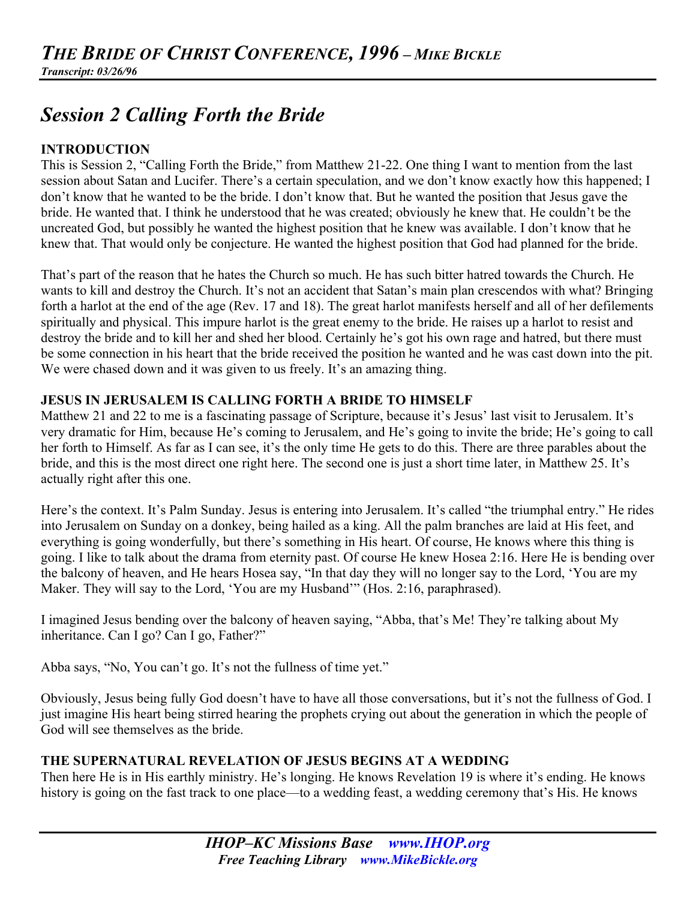# *Session 2 Calling Forth the Bride*

# **INTRODUCTION**

This is Session 2, "Calling Forth the Bride," from Matthew 21-22. One thing I want to mention from the last session about Satan and Lucifer. There's a certain speculation, and we don't know exactly how this happened; I don't know that he wanted to be the bride. I don't know that. But he wanted the position that Jesus gave the bride. He wanted that. I think he understood that he was created; obviously he knew that. He couldn't be the uncreated God, but possibly he wanted the highest position that he knew was available. I don't know that he knew that. That would only be conjecture. He wanted the highest position that God had planned for the bride.

That's part of the reason that he hates the Church so much. He has such bitter hatred towards the Church. He wants to kill and destroy the Church. It's not an accident that Satan's main plan crescendos with what? Bringing forth a harlot at the end of the age (Rev. 17 and 18). The great harlot manifests herself and all of her defilements spiritually and physical. This impure harlot is the great enemy to the bride. He raises up a harlot to resist and destroy the bride and to kill her and shed her blood. Certainly he's got his own rage and hatred, but there must be some connection in his heart that the bride received the position he wanted and he was cast down into the pit. We were chased down and it was given to us freely. It's an amazing thing.

# **JESUS IN JERUSALEM IS CALLING FORTH A BRIDE TO HIMSELF**

Matthew 21 and 22 to me is a fascinating passage of Scripture, because it's Jesus' last visit to Jerusalem. It's very dramatic for Him, because He's coming to Jerusalem, and He's going to invite the bride; He's going to call her forth to Himself. As far as I can see, it's the only time He gets to do this. There are three parables about the bride, and this is the most direct one right here. The second one is just a short time later, in Matthew 25. It's actually right after this one.

Here's the context. It's Palm Sunday. Jesus is entering into Jerusalem. It's called "the triumphal entry." He rides into Jerusalem on Sunday on a donkey, being hailed as a king. All the palm branches are laid at His feet, and everything is going wonderfully, but there's something in His heart. Of course, He knows where this thing is going. I like to talk about the drama from eternity past. Of course He knew Hosea 2:16. Here He is bending over the balcony of heaven, and He hears Hosea say, "In that day they will no longer say to the Lord, 'You are my Maker. They will say to the Lord, 'You are my Husband'" (Hos. 2:16, paraphrased).

I imagined Jesus bending over the balcony of heaven saying, "Abba, that's Me! They're talking about My inheritance. Can I go? Can I go, Father?"

Abba says, "No, You can't go. It's not the fullness of time yet."

Obviously, Jesus being fully God doesn't have to have all those conversations, but it's not the fullness of God. I just imagine His heart being stirred hearing the prophets crying out about the generation in which the people of God will see themselves as the bride.

# **THE SUPERNATURAL REVELATION OF JESUS BEGINS AT A WEDDING**

Then here He is in His earthly ministry. He's longing. He knows Revelation 19 is where it's ending. He knows history is going on the fast track to one place—to a wedding feast, a wedding ceremony that's His. He knows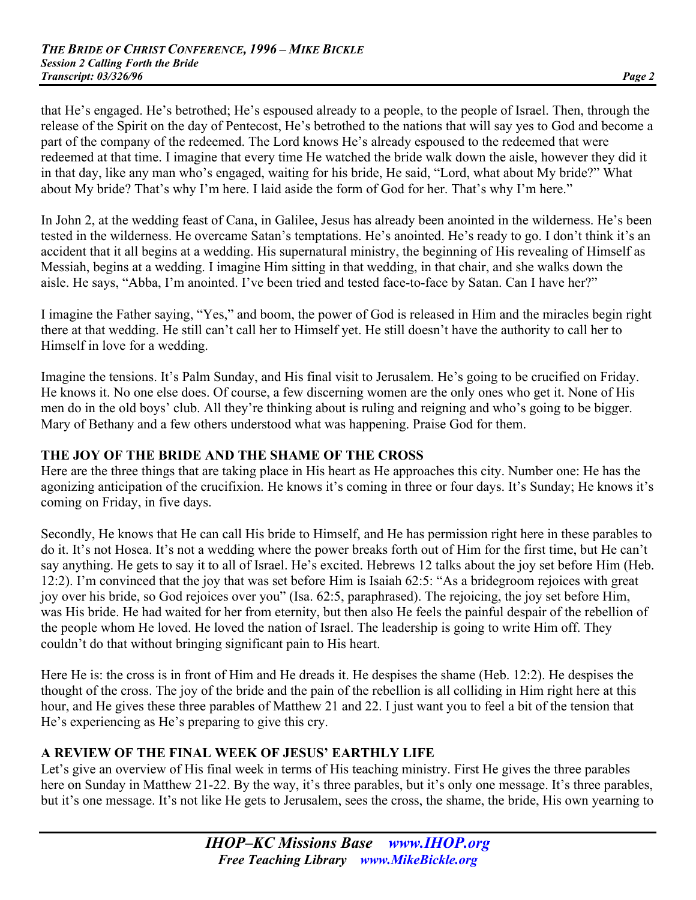that He's engaged. He's betrothed; He's espoused already to a people, to the people of Israel. Then, through the release of the Spirit on the day of Pentecost, He's betrothed to the nations that will say yes to God and become a part of the company of the redeemed. The Lord knows He's already espoused to the redeemed that were redeemed at that time. I imagine that every time He watched the bride walk down the aisle, however they did it in that day, like any man who's engaged, waiting for his bride, He said, "Lord, what about My bride?" What about My bride? That's why I'm here. I laid aside the form of God for her. That's why I'm here."

In John 2, at the wedding feast of Cana, in Galilee, Jesus has already been anointed in the wilderness. He's been tested in the wilderness. He overcame Satan's temptations. He's anointed. He's ready to go. I don't think it's an accident that it all begins at a wedding. His supernatural ministry, the beginning of His revealing of Himself as Messiah, begins at a wedding. I imagine Him sitting in that wedding, in that chair, and she walks down the aisle. He says, "Abba, I'm anointed. I've been tried and tested face-to-face by Satan. Can I have her?"

I imagine the Father saying, "Yes," and boom, the power of God is released in Him and the miracles begin right there at that wedding. He still can't call her to Himself yet. He still doesn't have the authority to call her to Himself in love for a wedding.

Imagine the tensions. It's Palm Sunday, and His final visit to Jerusalem. He's going to be crucified on Friday. He knows it. No one else does. Of course, a few discerning women are the only ones who get it. None of His men do in the old boys' club. All they're thinking about is ruling and reigning and who's going to be bigger. Mary of Bethany and a few others understood what was happening. Praise God for them.

# **THE JOY OF THE BRIDE AND THE SHAME OF THE CROSS**

Here are the three things that are taking place in His heart as He approaches this city. Number one: He has the agonizing anticipation of the crucifixion. He knows it's coming in three or four days. It's Sunday; He knows it's coming on Friday, in five days.

Secondly, He knows that He can call His bride to Himself, and He has permission right here in these parables to do it. It's not Hosea. It's not a wedding where the power breaks forth out of Him for the first time, but He can't say anything. He gets to say it to all of Israel. He's excited. Hebrews 12 talks about the joy set before Him (Heb. 12:2). I'm convinced that the joy that was set before Him is Isaiah 62:5: "As a bridegroom rejoices with great joy over his bride, so God rejoices over you" (Isa. 62:5, paraphrased). The rejoicing, the joy set before Him, was His bride. He had waited for her from eternity, but then also He feels the painful despair of the rebellion of the people whom He loved. He loved the nation of Israel. The leadership is going to write Him off. They couldn't do that without bringing significant pain to His heart.

Here He is: the cross is in front of Him and He dreads it. He despises the shame (Heb. 12:2). He despises the thought of the cross. The joy of the bride and the pain of the rebellion is all colliding in Him right here at this hour, and He gives these three parables of Matthew 21 and 22. I just want you to feel a bit of the tension that He's experiencing as He's preparing to give this cry.

# **A REVIEW OF THE FINAL WEEK OF JESUS' EARTHLY LIFE**

Let's give an overview of His final week in terms of His teaching ministry. First He gives the three parables here on Sunday in Matthew 21-22. By the way, it's three parables, but it's only one message. It's three parables, but it's one message. It's not like He gets to Jerusalem, sees the cross, the shame, the bride, His own yearning to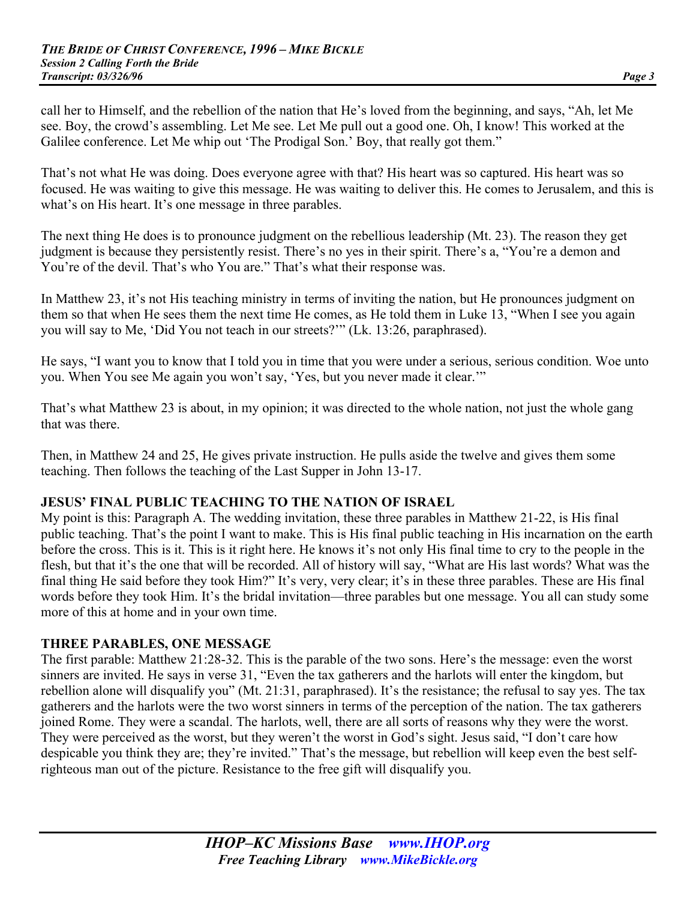call her to Himself, and the rebellion of the nation that He's loved from the beginning, and says, "Ah, let Me see. Boy, the crowd's assembling. Let Me see. Let Me pull out a good one. Oh, I know! This worked at the Galilee conference. Let Me whip out 'The Prodigal Son.' Boy, that really got them."

That's not what He was doing. Does everyone agree with that? His heart was so captured. His heart was so focused. He was waiting to give this message. He was waiting to deliver this. He comes to Jerusalem, and this is what's on His heart. It's one message in three parables.

The next thing He does is to pronounce judgment on the rebellious leadership (Mt. 23). The reason they get judgment is because they persistently resist. There's no yes in their spirit. There's a, "You're a demon and You're of the devil. That's who You are." That's what their response was.

In Matthew 23, it's not His teaching ministry in terms of inviting the nation, but He pronounces judgment on them so that when He sees them the next time He comes, as He told them in Luke 13, "When I see you again you will say to Me, 'Did You not teach in our streets?'" (Lk. 13:26, paraphrased).

He says, "I want you to know that I told you in time that you were under a serious, serious condition. Woe unto you. When You see Me again you won't say, 'Yes, but you never made it clear.'"

That's what Matthew 23 is about, in my opinion; it was directed to the whole nation, not just the whole gang that was there.

Then, in Matthew 24 and 25, He gives private instruction. He pulls aside the twelve and gives them some teaching. Then follows the teaching of the Last Supper in John 13-17.

# **JESUS' FINAL PUBLIC TEACHING TO THE NATION OF ISRAEL**

My point is this: Paragraph A. The wedding invitation, these three parables in Matthew 21-22, is His final public teaching. That's the point I want to make. This is His final public teaching in His incarnation on the earth before the cross. This is it. This is it right here. He knows it's not only His final time to cry to the people in the flesh, but that it's the one that will be recorded. All of history will say, "What are His last words? What was the final thing He said before they took Him?" It's very, very clear; it's in these three parables. These are His final words before they took Him. It's the bridal invitation—three parables but one message. You all can study some more of this at home and in your own time.

#### **THREE PARABLES, ONE MESSAGE**

The first parable: Matthew 21:28-32. This is the parable of the two sons. Here's the message: even the worst sinners are invited. He says in verse 31, "Even the tax gatherers and the harlots will enter the kingdom, but rebellion alone will disqualify you" (Mt. 21:31, paraphrased). It's the resistance; the refusal to say yes. The tax gatherers and the harlots were the two worst sinners in terms of the perception of the nation. The tax gatherers joined Rome. They were a scandal. The harlots, well, there are all sorts of reasons why they were the worst. They were perceived as the worst, but they weren't the worst in God's sight. Jesus said, "I don't care how despicable you think they are; they're invited." That's the message, but rebellion will keep even the best selfrighteous man out of the picture. Resistance to the free gift will disqualify you.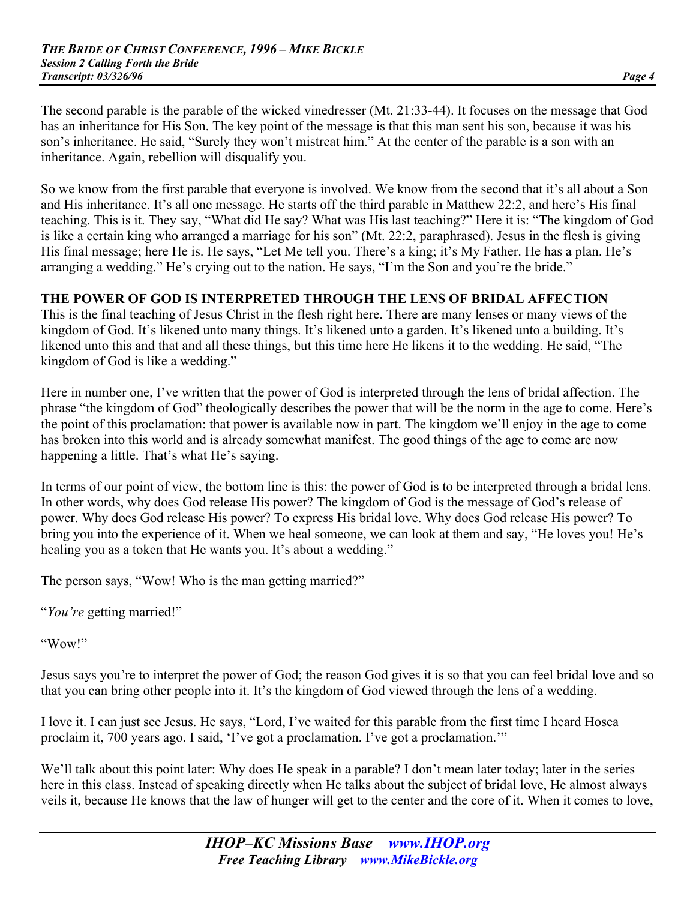The second parable is the parable of the wicked vinedresser (Mt. 21:33-44). It focuses on the message that God has an inheritance for His Son. The key point of the message is that this man sent his son, because it was his son's inheritance. He said, "Surely they won't mistreat him." At the center of the parable is a son with an inheritance. Again, rebellion will disqualify you.

So we know from the first parable that everyone is involved. We know from the second that it's all about a Son and His inheritance. It's all one message. He starts off the third parable in Matthew 22:2, and here's His final teaching. This is it. They say, "What did He say? What was His last teaching?" Here it is: "The kingdom of God is like a certain king who arranged a marriage for his son" (Mt. 22:2, paraphrased). Jesus in the flesh is giving His final message; here He is. He says, "Let Me tell you. There's a king; it's My Father. He has a plan. He's arranging a wedding." He's crying out to the nation. He says, "I'm the Son and you're the bride."

#### **THE POWER OF GOD IS INTERPRETED THROUGH THE LENS OF BRIDAL AFFECTION**

This is the final teaching of Jesus Christ in the flesh right here. There are many lenses or many views of the kingdom of God. It's likened unto many things. It's likened unto a garden. It's likened unto a building. It's likened unto this and that and all these things, but this time here He likens it to the wedding. He said, "The kingdom of God is like a wedding."

Here in number one, I've written that the power of God is interpreted through the lens of bridal affection. The phrase "the kingdom of God" theologically describes the power that will be the norm in the age to come. Here's the point of this proclamation: that power is available now in part. The kingdom we'll enjoy in the age to come has broken into this world and is already somewhat manifest. The good things of the age to come are now happening a little. That's what He's saying.

In terms of our point of view, the bottom line is this: the power of God is to be interpreted through a bridal lens. In other words, why does God release His power? The kingdom of God is the message of God's release of power. Why does God release His power? To express His bridal love. Why does God release His power? To bring you into the experience of it. When we heal someone, we can look at them and say, "He loves you! He's healing you as a token that He wants you. It's about a wedding."

The person says, "Wow! Who is the man getting married?"

"*You're* getting married!"

"Wow!"

Jesus says you're to interpret the power of God; the reason God gives it is so that you can feel bridal love and so that you can bring other people into it. It's the kingdom of God viewed through the lens of a wedding.

I love it. I can just see Jesus. He says, "Lord, I've waited for this parable from the first time I heard Hosea proclaim it, 700 years ago. I said, 'I've got a proclamation. I've got a proclamation.'"

We'll talk about this point later: Why does He speak in a parable? I don't mean later today; later in the series here in this class. Instead of speaking directly when He talks about the subject of bridal love, He almost always veils it, because He knows that the law of hunger will get to the center and the core of it. When it comes to love,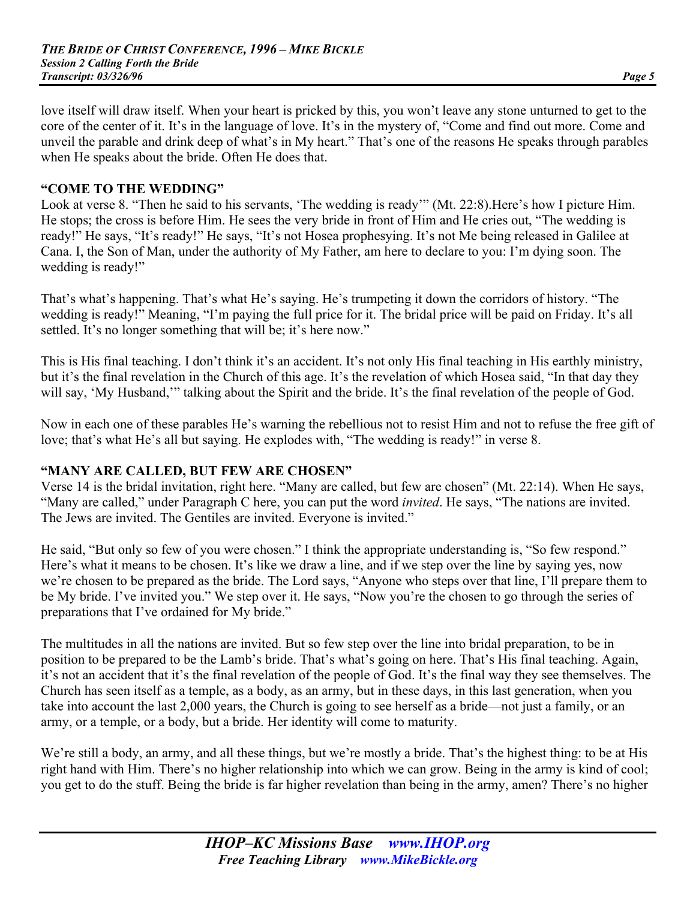love itself will draw itself. When your heart is pricked by this, you won't leave any stone unturned to get to the core of the center of it. It's in the language of love. It's in the mystery of, "Come and find out more. Come and unveil the parable and drink deep of what's in My heart." That's one of the reasons He speaks through parables when He speaks about the bride. Often He does that.

### **"COME TO THE WEDDING"**

Look at verse 8. "Then he said to his servants, 'The wedding is ready'" (Mt. 22:8).Here's how I picture Him. He stops; the cross is before Him. He sees the very bride in front of Him and He cries out, "The wedding is ready!" He says, "It's ready!" He says, "It's not Hosea prophesying. It's not Me being released in Galilee at Cana. I, the Son of Man, under the authority of My Father, am here to declare to you: I'm dying soon. The wedding is ready!"

That's what's happening. That's what He's saying. He's trumpeting it down the corridors of history. "The wedding is ready!" Meaning, "I'm paying the full price for it. The bridal price will be paid on Friday. It's all settled. It's no longer something that will be; it's here now."

This is His final teaching. I don't think it's an accident. It's not only His final teaching in His earthly ministry, but it's the final revelation in the Church of this age. It's the revelation of which Hosea said, "In that day they will say, 'My Husband,'" talking about the Spirit and the bride. It's the final revelation of the people of God.

Now in each one of these parables He's warning the rebellious not to resist Him and not to refuse the free gift of love; that's what He's all but saying. He explodes with, "The wedding is ready!" in verse 8.

#### **"MANY ARE CALLED, BUT FEW ARE CHOSEN"**

Verse 14 is the bridal invitation, right here. "Many are called, but few are chosen" (Mt. 22:14). When He says, "Many are called," under Paragraph C here, you can put the word *invited*. He says, "The nations are invited. The Jews are invited. The Gentiles are invited. Everyone is invited."

He said, "But only so few of you were chosen." I think the appropriate understanding is, "So few respond." Here's what it means to be chosen. It's like we draw a line, and if we step over the line by saying yes, now we're chosen to be prepared as the bride. The Lord says, "Anyone who steps over that line, I'll prepare them to be My bride. I've invited you." We step over it. He says, "Now you're the chosen to go through the series of preparations that I've ordained for My bride."

The multitudes in all the nations are invited. But so few step over the line into bridal preparation, to be in position to be prepared to be the Lamb's bride. That's what's going on here. That's His final teaching. Again, it's not an accident that it's the final revelation of the people of God. It's the final way they see themselves. The Church has seen itself as a temple, as a body, as an army, but in these days, in this last generation, when you take into account the last 2,000 years, the Church is going to see herself as a bride—not just a family, or an army, or a temple, or a body, but a bride. Her identity will come to maturity.

We're still a body, an army, and all these things, but we're mostly a bride. That's the highest thing: to be at His right hand with Him. There's no higher relationship into which we can grow. Being in the army is kind of cool; you get to do the stuff. Being the bride is far higher revelation than being in the army, amen? There's no higher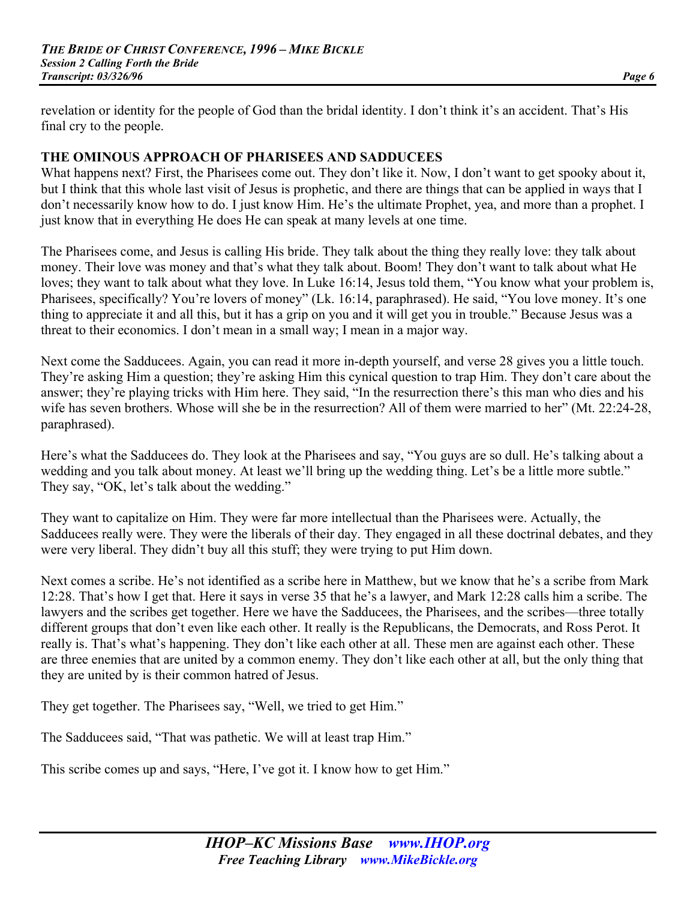revelation or identity for the people of God than the bridal identity. I don't think it's an accident. That's His final cry to the people.

#### **THE OMINOUS APPROACH OF PHARISEES AND SADDUCEES**

What happens next? First, the Pharisees come out. They don't like it. Now, I don't want to get spooky about it, but I think that this whole last visit of Jesus is prophetic, and there are things that can be applied in ways that I don't necessarily know how to do. I just know Him. He's the ultimate Prophet, yea, and more than a prophet. I just know that in everything He does He can speak at many levels at one time.

The Pharisees come, and Jesus is calling His bride. They talk about the thing they really love: they talk about money. Their love was money and that's what they talk about. Boom! They don't want to talk about what He loves; they want to talk about what they love. In Luke 16:14, Jesus told them, "You know what your problem is, Pharisees, specifically? You're lovers of money" (Lk. 16:14, paraphrased). He said, "You love money. It's one thing to appreciate it and all this, but it has a grip on you and it will get you in trouble." Because Jesus was a threat to their economics. I don't mean in a small way; I mean in a major way.

Next come the Sadducees. Again, you can read it more in-depth yourself, and verse 28 gives you a little touch. They're asking Him a question; they're asking Him this cynical question to trap Him. They don't care about the answer; they're playing tricks with Him here. They said, "In the resurrection there's this man who dies and his wife has seven brothers. Whose will she be in the resurrection? All of them were married to her" (Mt. 22:24-28, paraphrased).

Here's what the Sadducees do. They look at the Pharisees and say, "You guys are so dull. He's talking about a wedding and you talk about money. At least we'll bring up the wedding thing. Let's be a little more subtle." They say, "OK, let's talk about the wedding."

They want to capitalize on Him. They were far more intellectual than the Pharisees were. Actually, the Sadducees really were. They were the liberals of their day. They engaged in all these doctrinal debates, and they were very liberal. They didn't buy all this stuff; they were trying to put Him down.

Next comes a scribe. He's not identified as a scribe here in Matthew, but we know that he's a scribe from Mark 12:28. That's how I get that. Here it says in verse 35 that he's a lawyer, and Mark 12:28 calls him a scribe. The lawyers and the scribes get together. Here we have the Sadducees, the Pharisees, and the scribes—three totally different groups that don't even like each other. It really is the Republicans, the Democrats, and Ross Perot. It really is. That's what's happening. They don't like each other at all. These men are against each other. These are three enemies that are united by a common enemy. They don't like each other at all, but the only thing that they are united by is their common hatred of Jesus.

They get together. The Pharisees say, "Well, we tried to get Him."

The Sadducees said, "That was pathetic. We will at least trap Him."

This scribe comes up and says, "Here, I've got it. I know how to get Him."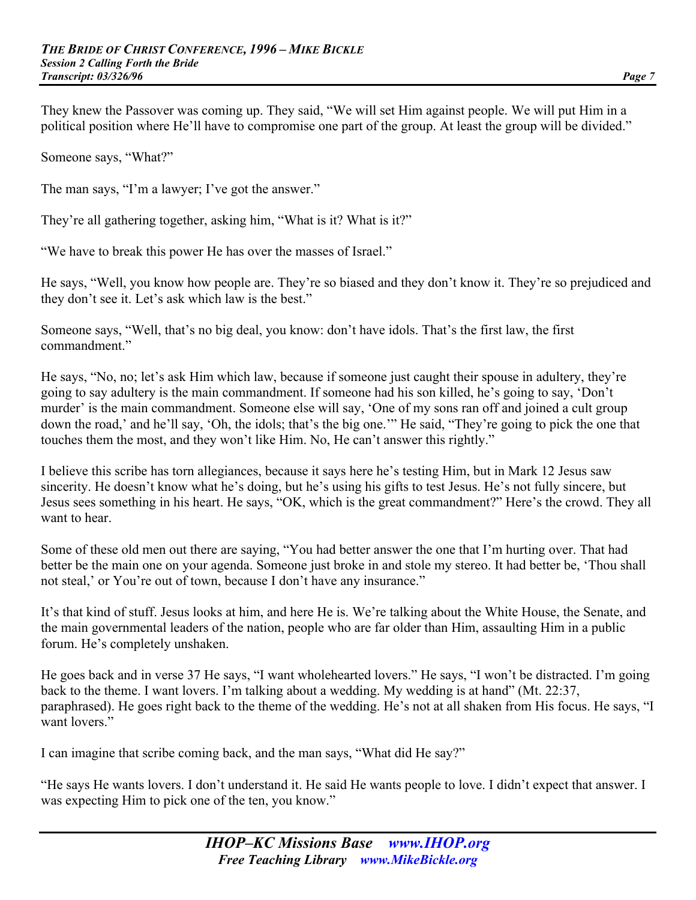They knew the Passover was coming up. They said, "We will set Him against people. We will put Him in a political position where He'll have to compromise one part of the group. At least the group will be divided."

Someone says, "What?"

The man says, "I'm a lawyer; I've got the answer."

They're all gathering together, asking him, "What is it? What is it?"

"We have to break this power He has over the masses of Israel."

He says, "Well, you know how people are. They're so biased and they don't know it. They're so prejudiced and they don't see it. Let's ask which law is the best."

Someone says, "Well, that's no big deal, you know: don't have idols. That's the first law, the first commandment."

He says, "No, no; let's ask Him which law, because if someone just caught their spouse in adultery, they're going to say adultery is the main commandment. If someone had his son killed, he's going to say, 'Don't murder' is the main commandment. Someone else will say, 'One of my sons ran off and joined a cult group down the road,' and he'll say, 'Oh, the idols; that's the big one.'" He said, "They're going to pick the one that touches them the most, and they won't like Him. No, He can't answer this rightly."

I believe this scribe has torn allegiances, because it says here he's testing Him, but in Mark 12 Jesus saw sincerity. He doesn't know what he's doing, but he's using his gifts to test Jesus. He's not fully sincere, but Jesus sees something in his heart. He says, "OK, which is the great commandment?" Here's the crowd. They all want to hear.

Some of these old men out there are saying, "You had better answer the one that I'm hurting over. That had better be the main one on your agenda. Someone just broke in and stole my stereo. It had better be, 'Thou shall not steal,' or You're out of town, because I don't have any insurance."

It's that kind of stuff. Jesus looks at him, and here He is. We're talking about the White House, the Senate, and the main governmental leaders of the nation, people who are far older than Him, assaulting Him in a public forum. He's completely unshaken.

He goes back and in verse 37 He says, "I want wholehearted lovers." He says, "I won't be distracted. I'm going back to the theme. I want lovers. I'm talking about a wedding. My wedding is at hand" (Mt. 22:37, paraphrased). He goes right back to the theme of the wedding. He's not at all shaken from His focus. He says, "I want lovers<sup>"</sup>

I can imagine that scribe coming back, and the man says, "What did He say?"

"He says He wants lovers. I don't understand it. He said He wants people to love. I didn't expect that answer. I was expecting Him to pick one of the ten, you know."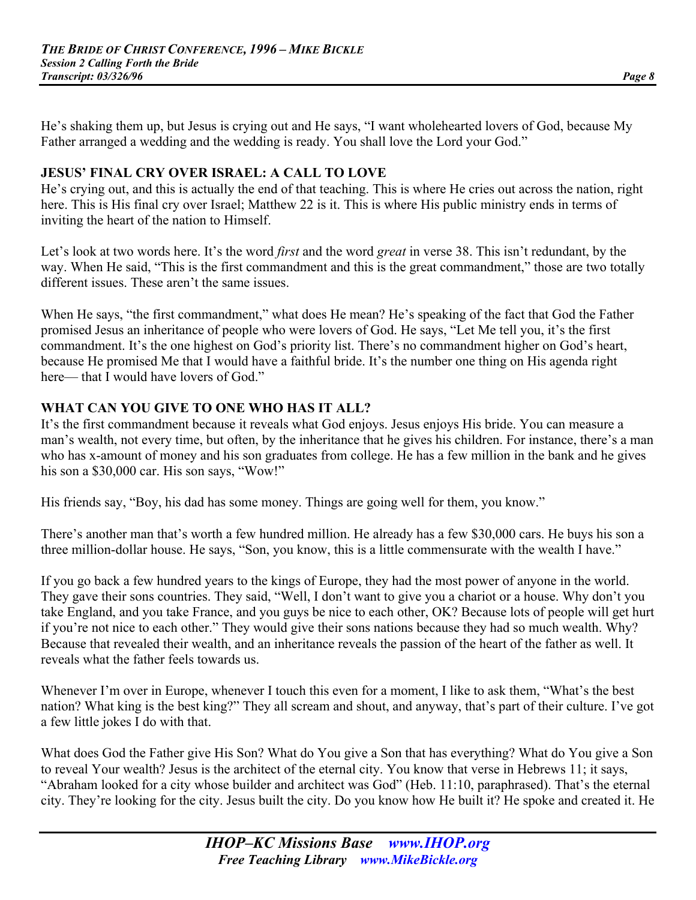He's shaking them up, but Jesus is crying out and He says, "I want wholehearted lovers of God, because My Father arranged a wedding and the wedding is ready. You shall love the Lord your God."

#### **JESUS' FINAL CRY OVER ISRAEL: A CALL TO LOVE**

He's crying out, and this is actually the end of that teaching. This is where He cries out across the nation, right here. This is His final cry over Israel; Matthew 22 is it. This is where His public ministry ends in terms of inviting the heart of the nation to Himself.

Let's look at two words here. It's the word *first* and the word *great* in verse 38. This isn't redundant, by the way. When He said, "This is the first commandment and this is the great commandment," those are two totally different issues. These aren't the same issues.

When He says, "the first commandment," what does He mean? He's speaking of the fact that God the Father promised Jesus an inheritance of people who were lovers of God. He says, "Let Me tell you, it's the first commandment. It's the one highest on God's priority list. There's no commandment higher on God's heart, because He promised Me that I would have a faithful bride. It's the number one thing on His agenda right here— that I would have lovers of God."

# **WHAT CAN YOU GIVE TO ONE WHO HAS IT ALL?**

It's the first commandment because it reveals what God enjoys. Jesus enjoys His bride. You can measure a man's wealth, not every time, but often, by the inheritance that he gives his children. For instance, there's a man who has x-amount of money and his son graduates from college. He has a few million in the bank and he gives his son a \$30,000 car. His son says, "Wow!"

His friends say, "Boy, his dad has some money. Things are going well for them, you know."

There's another man that's worth a few hundred million. He already has a few \$30,000 cars. He buys his son a three million-dollar house. He says, "Son, you know, this is a little commensurate with the wealth I have."

If you go back a few hundred years to the kings of Europe, they had the most power of anyone in the world. They gave their sons countries. They said, "Well, I don't want to give you a chariot or a house. Why don't you take England, and you take France, and you guys be nice to each other, OK? Because lots of people will get hurt if you're not nice to each other." They would give their sons nations because they had so much wealth. Why? Because that revealed their wealth, and an inheritance reveals the passion of the heart of the father as well. It reveals what the father feels towards us.

Whenever I'm over in Europe, whenever I touch this even for a moment, I like to ask them, "What's the best" nation? What king is the best king?" They all scream and shout, and anyway, that's part of their culture. I've got a few little jokes I do with that.

What does God the Father give His Son? What do You give a Son that has everything? What do You give a Son to reveal Your wealth? Jesus is the architect of the eternal city. You know that verse in Hebrews 11; it says, "Abraham looked for a city whose builder and architect was God" (Heb. 11:10, paraphrased). That's the eternal city. They're looking for the city. Jesus built the city. Do you know how He built it? He spoke and created it. He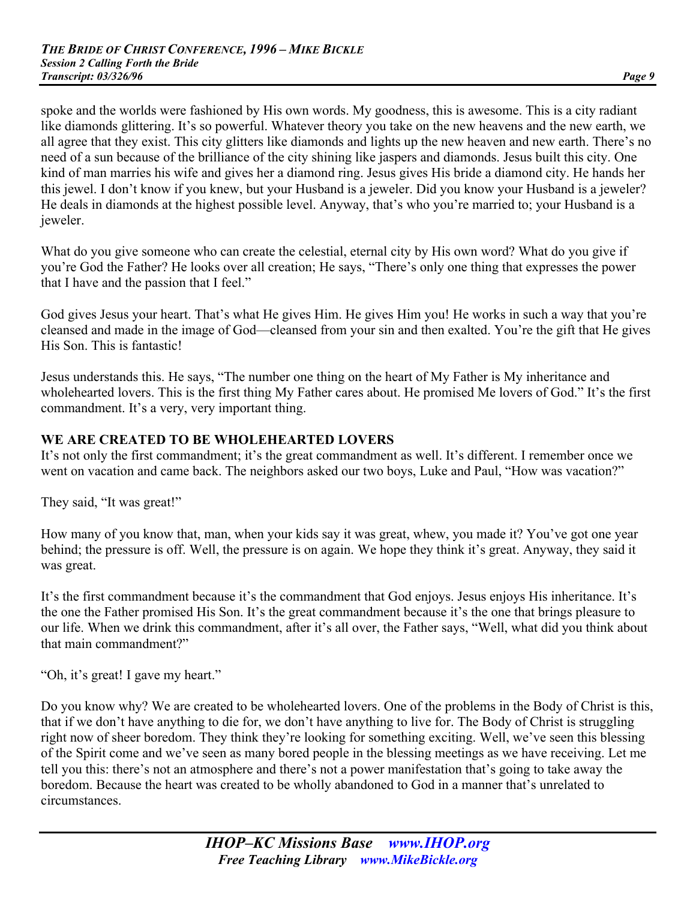spoke and the worlds were fashioned by His own words. My goodness, this is awesome. This is a city radiant like diamonds glittering. It's so powerful. Whatever theory you take on the new heavens and the new earth, we all agree that they exist. This city glitters like diamonds and lights up the new heaven and new earth. There's no need of a sun because of the brilliance of the city shining like jaspers and diamonds. Jesus built this city. One kind of man marries his wife and gives her a diamond ring. Jesus gives His bride a diamond city. He hands her this jewel. I don't know if you knew, but your Husband is a jeweler. Did you know your Husband is a jeweler? He deals in diamonds at the highest possible level. Anyway, that's who you're married to; your Husband is a jeweler.

What do you give someone who can create the celestial, eternal city by His own word? What do you give if you're God the Father? He looks over all creation; He says, "There's only one thing that expresses the power that I have and the passion that I feel."

God gives Jesus your heart. That's what He gives Him. He gives Him you! He works in such a way that you're cleansed and made in the image of God—cleansed from your sin and then exalted. You're the gift that He gives His Son. This is fantastic!

Jesus understands this. He says, "The number one thing on the heart of My Father is My inheritance and wholehearted lovers. This is the first thing My Father cares about. He promised Me lovers of God." It's the first commandment. It's a very, very important thing.

#### **WE ARE CREATED TO BE WHOLEHEARTED LOVERS**

It's not only the first commandment; it's the great commandment as well. It's different. I remember once we went on vacation and came back. The neighbors asked our two boys, Luke and Paul, "How was vacation?"

They said, "It was great!"

How many of you know that, man, when your kids say it was great, whew, you made it? You've got one year behind; the pressure is off. Well, the pressure is on again. We hope they think it's great. Anyway, they said it was great.

It's the first commandment because it's the commandment that God enjoys. Jesus enjoys His inheritance. It's the one the Father promised His Son. It's the great commandment because it's the one that brings pleasure to our life. When we drink this commandment, after it's all over, the Father says, "Well, what did you think about that main commandment?"

"Oh, it's great! I gave my heart."

Do you know why? We are created to be wholehearted lovers. One of the problems in the Body of Christ is this, that if we don't have anything to die for, we don't have anything to live for. The Body of Christ is struggling right now of sheer boredom. They think they're looking for something exciting. Well, we've seen this blessing of the Spirit come and we've seen as many bored people in the blessing meetings as we have receiving. Let me tell you this: there's not an atmosphere and there's not a power manifestation that's going to take away the boredom. Because the heart was created to be wholly abandoned to God in a manner that's unrelated to circumstances.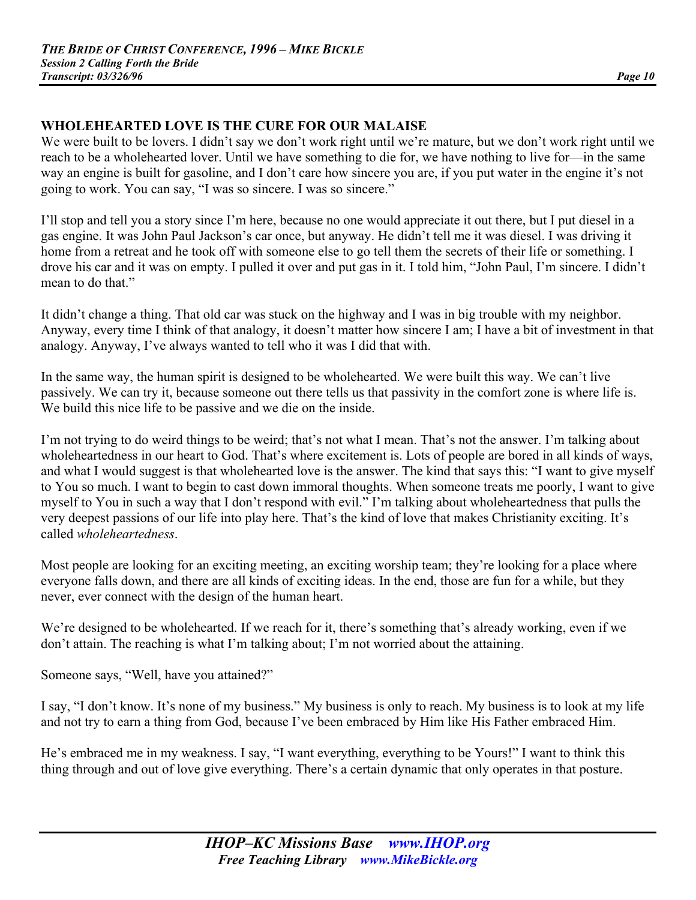# **WHOLEHEARTED LOVE IS THE CURE FOR OUR MALAISE**

We were built to be lovers. I didn't say we don't work right until we're mature, but we don't work right until we reach to be a wholehearted lover. Until we have something to die for, we have nothing to live for—in the same way an engine is built for gasoline, and I don't care how sincere you are, if you put water in the engine it's not going to work. You can say, "I was so sincere. I was so sincere."

I'll stop and tell you a story since I'm here, because no one would appreciate it out there, but I put diesel in a gas engine. It was John Paul Jackson's car once, but anyway. He didn't tell me it was diesel. I was driving it home from a retreat and he took off with someone else to go tell them the secrets of their life or something. I drove his car and it was on empty. I pulled it over and put gas in it. I told him, "John Paul, I'm sincere. I didn't mean to do that."

It didn't change a thing. That old car was stuck on the highway and I was in big trouble with my neighbor. Anyway, every time I think of that analogy, it doesn't matter how sincere I am; I have a bit of investment in that analogy. Anyway, I've always wanted to tell who it was I did that with.

In the same way, the human spirit is designed to be wholehearted. We were built this way. We can't live passively. We can try it, because someone out there tells us that passivity in the comfort zone is where life is. We build this nice life to be passive and we die on the inside.

I'm not trying to do weird things to be weird; that's not what I mean. That's not the answer. I'm talking about wholeheartedness in our heart to God. That's where excitement is. Lots of people are bored in all kinds of ways, and what I would suggest is that wholehearted love is the answer. The kind that says this: "I want to give myself to You so much. I want to begin to cast down immoral thoughts. When someone treats me poorly, I want to give myself to You in such a way that I don't respond with evil." I'm talking about wholeheartedness that pulls the very deepest passions of our life into play here. That's the kind of love that makes Christianity exciting. It's called *wholeheartedness*.

Most people are looking for an exciting meeting, an exciting worship team; they're looking for a place where everyone falls down, and there are all kinds of exciting ideas. In the end, those are fun for a while, but they never, ever connect with the design of the human heart.

We're designed to be wholehearted. If we reach for it, there's something that's already working, even if we don't attain. The reaching is what I'm talking about; I'm not worried about the attaining.

Someone says, "Well, have you attained?"

I say, "I don't know. It's none of my business." My business is only to reach. My business is to look at my life and not try to earn a thing from God, because I've been embraced by Him like His Father embraced Him.

He's embraced me in my weakness. I say, "I want everything, everything to be Yours!" I want to think this thing through and out of love give everything. There's a certain dynamic that only operates in that posture.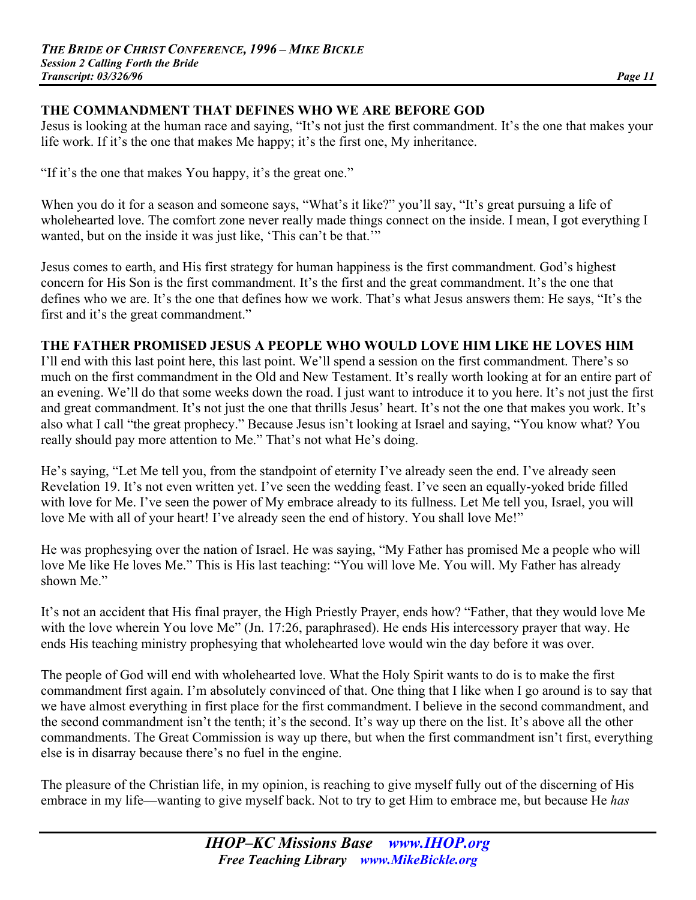# **THE COMMANDMENT THAT DEFINES WHO WE ARE BEFORE GOD**

Jesus is looking at the human race and saying, "It's not just the first commandment. It's the one that makes your life work. If it's the one that makes Me happy; it's the first one, My inheritance.

"If it's the one that makes You happy, it's the great one."

When you do it for a season and someone says, "What's it like?" you'll say, "It's great pursuing a life of wholehearted love. The comfort zone never really made things connect on the inside. I mean, I got everything I wanted, but on the inside it was just like, 'This can't be that.'"

Jesus comes to earth, and His first strategy for human happiness is the first commandment. God's highest concern for His Son is the first commandment. It's the first and the great commandment. It's the one that defines who we are. It's the one that defines how we work. That's what Jesus answers them: He says, "It's the first and it's the great commandment."

#### **THE FATHER PROMISED JESUS A PEOPLE WHO WOULD LOVE HIM LIKE HE LOVES HIM**

I'll end with this last point here, this last point. We'll spend a session on the first commandment. There's so much on the first commandment in the Old and New Testament. It's really worth looking at for an entire part of an evening. We'll do that some weeks down the road. I just want to introduce it to you here. It's not just the first and great commandment. It's not just the one that thrills Jesus' heart. It's not the one that makes you work. It's also what I call "the great prophecy." Because Jesus isn't looking at Israel and saying, "You know what? You really should pay more attention to Me." That's not what He's doing.

He's saying, "Let Me tell you, from the standpoint of eternity I've already seen the end. I've already seen Revelation 19. It's not even written yet. I've seen the wedding feast. I've seen an equally-yoked bride filled with love for Me. I've seen the power of My embrace already to its fullness. Let Me tell you, Israel, you will love Me with all of your heart! I've already seen the end of history. You shall love Me!"

He was prophesying over the nation of Israel. He was saying, "My Father has promised Me a people who will love Me like He loves Me." This is His last teaching: "You will love Me. You will. My Father has already shown Me."

It's not an accident that His final prayer, the High Priestly Prayer, ends how? "Father, that they would love Me with the love wherein You love Me" (Jn. 17:26, paraphrased). He ends His intercessory prayer that way. He ends His teaching ministry prophesying that wholehearted love would win the day before it was over.

The people of God will end with wholehearted love. What the Holy Spirit wants to do is to make the first commandment first again. I'm absolutely convinced of that. One thing that I like when I go around is to say that we have almost everything in first place for the first commandment. I believe in the second commandment, and the second commandment isn't the tenth; it's the second. It's way up there on the list. It's above all the other commandments. The Great Commission is way up there, but when the first commandment isn't first, everything else is in disarray because there's no fuel in the engine.

The pleasure of the Christian life, in my opinion, is reaching to give myself fully out of the discerning of His embrace in my life—wanting to give myself back. Not to try to get Him to embrace me, but because He *has*